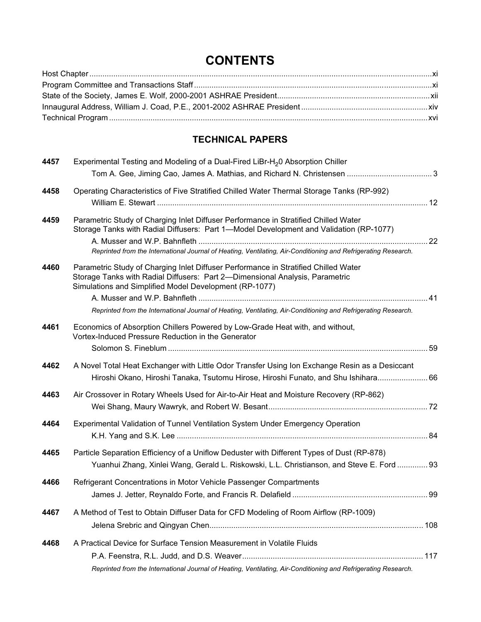## **CONTENTS**

## TECHNICAL PAPERS

| 4457 | Experimental Testing and Modeling of a Dual-Fired LiBr-H <sub>2</sub> 0 Absorption Chiller                                                                                                                                                                                                                                                      |  |
|------|-------------------------------------------------------------------------------------------------------------------------------------------------------------------------------------------------------------------------------------------------------------------------------------------------------------------------------------------------|--|
|      |                                                                                                                                                                                                                                                                                                                                                 |  |
| 4458 | Operating Characteristics of Five Stratified Chilled Water Thermal Storage Tanks (RP-992)                                                                                                                                                                                                                                                       |  |
| 4459 | Parametric Study of Charging Inlet Diffuser Performance in Stratified Chilled Water<br>Storage Tanks with Radial Diffusers: Part 1-Model Development and Validation (RP-1077)<br>Reprinted from the International Journal of Heating, Ventilating, Air-Conditioning and Refrigerating Research.                                                 |  |
| 4460 | Parametric Study of Charging Inlet Diffuser Performance in Stratified Chilled Water<br>Storage Tanks with Radial Diffusers: Part 2-Dimensional Analysis, Parametric<br>Simulations and Simplified Model Development (RP-1077)<br>Reprinted from the International Journal of Heating, Ventilating, Air-Conditioning and Refrigerating Research. |  |
| 4461 | Economics of Absorption Chillers Powered by Low-Grade Heat with, and without,<br>Vortex-Induced Pressure Reduction in the Generator                                                                                                                                                                                                             |  |
| 4462 | A Novel Total Heat Exchanger with Little Odor Transfer Using Ion Exchange Resin as a Desiccant<br>Hiroshi Okano, Hiroshi Tanaka, Tsutomu Hirose, Hiroshi Funato, and Shu Ishihara 66                                                                                                                                                            |  |
| 4463 | Air Crossover in Rotary Wheels Used for Air-to-Air Heat and Moisture Recovery (RP-862)                                                                                                                                                                                                                                                          |  |
| 4464 | Experimental Validation of Tunnel Ventilation System Under Emergency Operation                                                                                                                                                                                                                                                                  |  |
| 4465 | Particle Separation Efficiency of a Uniflow Deduster with Different Types of Dust (RP-878)<br>Yuanhui Zhang, Xinlei Wang, Gerald L. Riskowski, L.L. Christianson, and Steve E. Ford  93                                                                                                                                                         |  |
| 4466 | Refrigerant Concentrations in Motor Vehicle Passenger Compartments                                                                                                                                                                                                                                                                              |  |
| 4467 | A Method of Test to Obtain Diffuser Data for CFD Modeling of Room Airflow (RP-1009)                                                                                                                                                                                                                                                             |  |
| 4468 | A Practical Device for Surface Tension Measurement in Volatile Fluids<br>Reprinted from the International Journal of Heating, Ventilating, Air-Conditioning and Refrigerating Research.                                                                                                                                                         |  |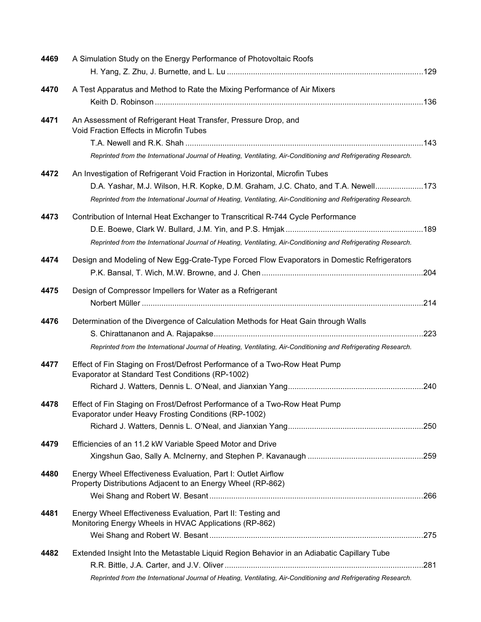| 4469 | A Simulation Study on the Energy Performance of Photovoltaic Roofs                                                                |  |
|------|-----------------------------------------------------------------------------------------------------------------------------------|--|
|      |                                                                                                                                   |  |
| 4470 | A Test Apparatus and Method to Rate the Mixing Performance of Air Mixers                                                          |  |
| 4471 | An Assessment of Refrigerant Heat Transfer, Pressure Drop, and<br>Void Fraction Effects in Microfin Tubes                         |  |
|      |                                                                                                                                   |  |
|      | Reprinted from the International Journal of Heating, Ventilating, Air-Conditioning and Refrigerating Research.                    |  |
| 4472 | An Investigation of Refrigerant Void Fraction in Horizontal, Microfin Tubes                                                       |  |
|      | D.A. Yashar, M.J. Wilson, H.R. Kopke, D.M. Graham, J.C. Chato, and T.A. Newell173                                                 |  |
|      | Reprinted from the International Journal of Heating, Ventilating, Air-Conditioning and Refrigerating Research.                    |  |
| 4473 | Contribution of Internal Heat Exchanger to Transcritical R-744 Cycle Performance                                                  |  |
|      |                                                                                                                                   |  |
|      | Reprinted from the International Journal of Heating, Ventilating, Air-Conditioning and Refrigerating Research.                    |  |
| 4474 | Design and Modeling of New Egg-Crate-Type Forced Flow Evaporators in Domestic Refrigerators                                       |  |
|      |                                                                                                                                   |  |
| 4475 | Design of Compressor Impellers for Water as a Refrigerant                                                                         |  |
|      |                                                                                                                                   |  |
| 4476 | Determination of the Divergence of Calculation Methods for Heat Gain through Walls                                                |  |
|      |                                                                                                                                   |  |
|      | Reprinted from the International Journal of Heating, Ventilating, Air-Conditioning and Refrigerating Research.                    |  |
| 4477 | Effect of Fin Staging on Frost/Defrost Performance of a Two-Row Heat Pump<br>Evaporator at Standard Test Conditions (RP-1002)     |  |
|      |                                                                                                                                   |  |
| 4478 | Effect of Fin Staging on Frost/Defrost Performance of a Two-Row Heat Pump<br>Evaporator under Heavy Frosting Conditions (RP-1002) |  |
|      |                                                                                                                                   |  |
| 4479 | Efficiencies of an 11.2 kW Variable Speed Motor and Drive                                                                         |  |
|      |                                                                                                                                   |  |
| 4480 | Energy Wheel Effectiveness Evaluation, Part I: Outlet Airflow<br>Property Distributions Adjacent to an Energy Wheel (RP-862)      |  |
|      |                                                                                                                                   |  |
| 4481 | Energy Wheel Effectiveness Evaluation, Part II: Testing and<br>Monitoring Energy Wheels in HVAC Applications (RP-862)             |  |
|      |                                                                                                                                   |  |
| 4482 | Extended Insight Into the Metastable Liquid Region Behavior in an Adiabatic Capillary Tube                                        |  |
|      |                                                                                                                                   |  |
|      | Reprinted from the International Journal of Heating, Ventilating, Air-Conditioning and Refrigerating Research.                    |  |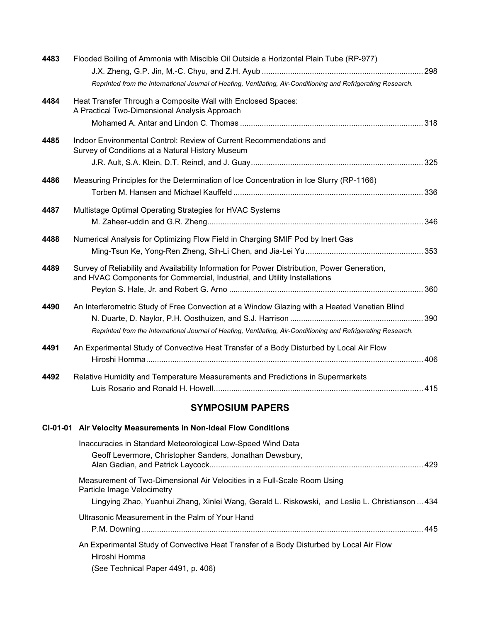| 4483 | Flooded Boiling of Ammonia with Miscible Oil Outside a Horizontal Plain Tube (RP-977)                                                                                     |  |
|------|---------------------------------------------------------------------------------------------------------------------------------------------------------------------------|--|
|      |                                                                                                                                                                           |  |
|      | Reprinted from the International Journal of Heating, Ventilating, Air-Conditioning and Refrigerating Research.                                                            |  |
| 4484 | Heat Transfer Through a Composite Wall with Enclosed Spaces:<br>A Practical Two-Dimensional Analysis Approach                                                             |  |
|      |                                                                                                                                                                           |  |
| 4485 | Indoor Environmental Control: Review of Current Recommendations and<br>Survey of Conditions at a Natural History Museum                                                   |  |
|      |                                                                                                                                                                           |  |
| 4486 | Measuring Principles for the Determination of Ice Concentration in Ice Slurry (RP-1166)                                                                                   |  |
| 4487 | Multistage Optimal Operating Strategies for HVAC Systems                                                                                                                  |  |
| 4488 | Numerical Analysis for Optimizing Flow Field in Charging SMIF Pod by Inert Gas                                                                                            |  |
| 4489 | Survey of Reliability and Availability Information for Power Distribution, Power Generation,<br>and HVAC Components for Commercial, Industrial, and Utility Installations |  |
|      |                                                                                                                                                                           |  |
| 4490 | An Interferometric Study of Free Convection at a Window Glazing with a Heated Venetian Blind                                                                              |  |
|      | Reprinted from the International Journal of Heating, Ventilating, Air-Conditioning and Refrigerating Research.                                                            |  |
| 4491 | An Experimental Study of Convective Heat Transfer of a Body Disturbed by Local Air Flow                                                                                   |  |
| 4492 | Relative Humidity and Temperature Measurements and Predictions in Supermarkets                                                                                            |  |
|      | <b>SYMPOSIUM PAPERS</b>                                                                                                                                                   |  |
|      |                                                                                                                                                                           |  |
|      | CI-01-01 Air Velocity Measurements in Non-Ideal Flow Conditions                                                                                                           |  |

| Inaccuracies in Standard Meteorological Low-Speed Wind Data<br>Geoff Levermore, Christopher Sanders, Jonathan Dewsbury,                                                                                   |  |
|-----------------------------------------------------------------------------------------------------------------------------------------------------------------------------------------------------------|--|
| Measurement of Two-Dimensional Air Velocities in a Full-Scale Room Using<br>Particle Image Velocimetry<br>Lingying Zhao, Yuanhui Zhang, Xinlei Wang, Gerald L. Riskowski, and Leslie L. Christianson  434 |  |
| Ultrasonic Measurement in the Palm of Your Hand                                                                                                                                                           |  |
| An Experimental Study of Convective Heat Transfer of a Body Disturbed by Local Air Flow<br>Hiroshi Homma<br>(See Technical Paper 4491, p. 406)                                                            |  |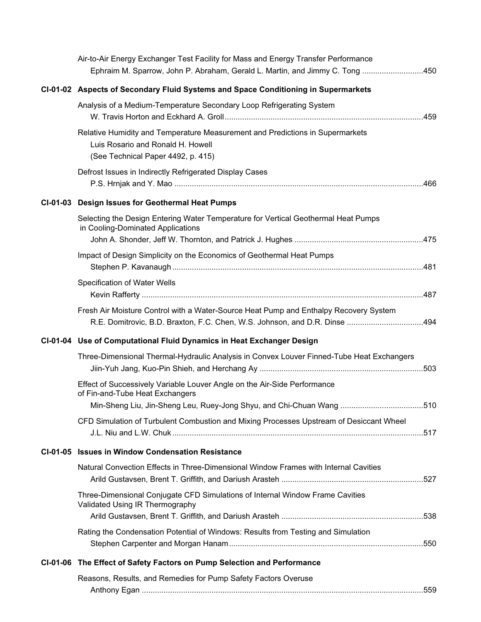|  | Air-to-Air Energy Exchanger Test Facility for Mass and Energy Transfer Performance                                                                                  |      |
|--|---------------------------------------------------------------------------------------------------------------------------------------------------------------------|------|
|  | Ephraim M. Sparrow, John P. Abraham, Gerald L. Martin, and Jimmy C. Tong 450                                                                                        |      |
|  | CI-01-02 Aspects of Secondary Fluid Systems and Space Conditioning in Supermarkets                                                                                  |      |
|  | Analysis of a Medium-Temperature Secondary Loop Refrigerating System                                                                                                |      |
|  | Relative Humidity and Temperature Measurement and Predictions in Supermarkets<br>Luis Rosario and Ronald H. Howell<br>(See Technical Paper 4492, p. 415)            |      |
|  | Defrost Issues in Indirectly Refrigerated Display Cases                                                                                                             |      |
|  | CI-01-03 Design Issues for Geothermal Heat Pumps                                                                                                                    |      |
|  | Selecting the Design Entering Water Temperature for Vertical Geothermal Heat Pumps<br>in Cooling-Dominated Applications                                             |      |
|  | Impact of Design Simplicity on the Economics of Geothermal Heat Pumps                                                                                               |      |
|  | Specification of Water Wells                                                                                                                                        |      |
|  | Fresh Air Moisture Control with a Water-Source Heat Pump and Enthalpy Recovery System<br>R.E. Domitrovic, B.D. Braxton, F.C. Chen, W.S. Johnson, and D.R. Dinse 494 |      |
|  | CI-01-04 Use of Computational Fluid Dynamics in Heat Exchanger Design                                                                                               |      |
|  | Three-Dimensional Thermal-Hydraulic Analysis in Convex Louver Finned-Tube Heat Exchangers                                                                           |      |
|  | Effect of Successively Variable Louver Angle on the Air-Side Performance<br>of Fin-and-Tube Heat Exchangers                                                         |      |
|  | Min-Sheng Liu, Jin-Sheng Leu, Ruey-Jong Shyu, and Chi-Chuan Wang                                                                                                    | .510 |
|  | CFD Simulation of Turbulent Combustion and Mixing Processes Upstream of Desiccant Wheel                                                                             |      |
|  | CI-01-05 Issues in Window Condensation Resistance                                                                                                                   |      |
|  | Natural Convection Effects in Three-Dimensional Window Frames with Internal Cavities                                                                                |      |
|  | Three-Dimensional Conjugate CFD Simulations of Internal Window Frame Cavities<br>Validated Using IR Thermography                                                    |      |
|  |                                                                                                                                                                     |      |
|  | Rating the Condensation Potential of Windows: Results from Testing and Simulation                                                                                   |      |
|  | CI-01-06 The Effect of Safety Factors on Pump Selection and Performance                                                                                             |      |
|  | Reasons, Results, and Remedies for Pump Safety Factors Overuse                                                                                                      |      |
|  |                                                                                                                                                                     |      |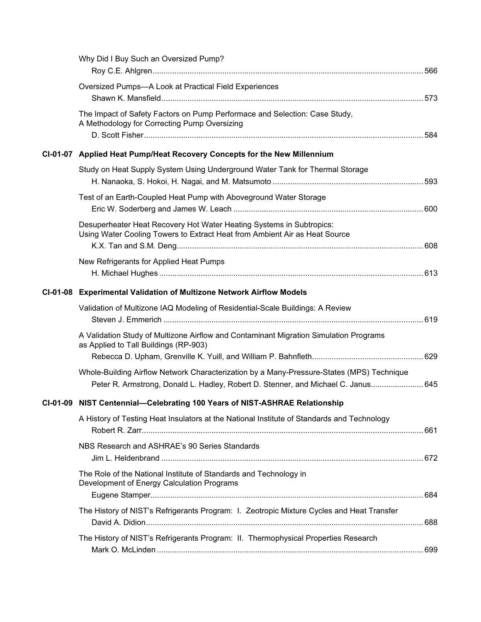| Why Did I Buy Such an Oversized Pump?                                                                                                              |  |
|----------------------------------------------------------------------------------------------------------------------------------------------------|--|
| Oversized Pumps-A Look at Practical Field Experiences                                                                                              |  |
| The Impact of Safety Factors on Pump Performace and Selection: Case Study,<br>A Methodology for Correcting Pump Oversizing                         |  |
| CI-01-07 Applied Heat Pump/Heat Recovery Concepts for the New Millennium                                                                           |  |
| Study on Heat Supply System Using Underground Water Tank for Thermal Storage                                                                       |  |
| Test of an Earth-Coupled Heat Pump with Aboveground Water Storage                                                                                  |  |
| Desuperheater Heat Recovery Hot Water Heating Systems in Subtropics:<br>Using Water Cooling Towers to Extract Heat from Ambient Air as Heat Source |  |
| New Refrigerants for Applied Heat Pumps                                                                                                            |  |
| CI-01-08 Experimental Validation of Multizone Network Airflow Models                                                                               |  |
| Validation of Multizone IAQ Modeling of Residential-Scale Buildings: A Review                                                                      |  |
| A Validation Study of Multizone Airflow and Contaminant Migration Simulation Programs<br>as Applied to Tall Buildings (RP-903)                     |  |
| Whole-Building Airflow Network Characterization by a Many-Pressure-States (MPS) Technique                                                          |  |
| Peter R. Armstrong, Donald L. Hadley, Robert D. Stenner, and Michael C. Janus 645                                                                  |  |
| CI-01-09 NIST Centennial-Celebrating 100 Years of NIST-ASHRAE Relationship                                                                         |  |
| A History of Testing Heat Insulators at the National Institute of Standards and Technology                                                         |  |
| NBS Research and ASHRAE's 90 Series Standards                                                                                                      |  |
| The Role of the National Institute of Standards and Technology in<br>Development of Energy Calculation Programs                                    |  |
| The History of NIST's Refrigerants Program: I. Zeotropic Mixture Cycles and Heat Transfer                                                          |  |
| The History of NIST's Refrigerants Program: II. Thermophysical Properties Research                                                                 |  |